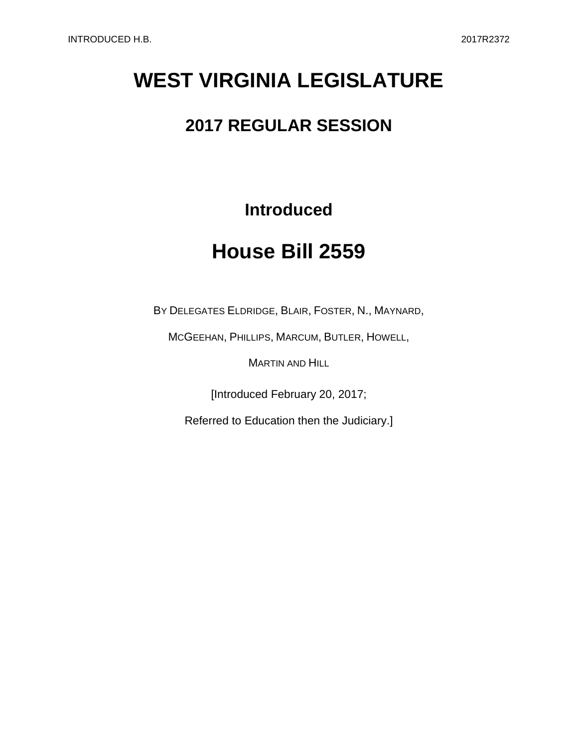## **WEST VIRGINIA LEGISLATURE**

## **2017 REGULAR SESSION**

## **Introduced**

## **House Bill 2559**

BY DELEGATES ELDRIDGE, BLAIR, FOSTER, N., MAYNARD,

MCGEEHAN, PHILLIPS, MARCUM, BUTLER, HOWELL,

MARTIN AND HILL

[Introduced February 20, 2017;

Referred to Education then the Judiciary.]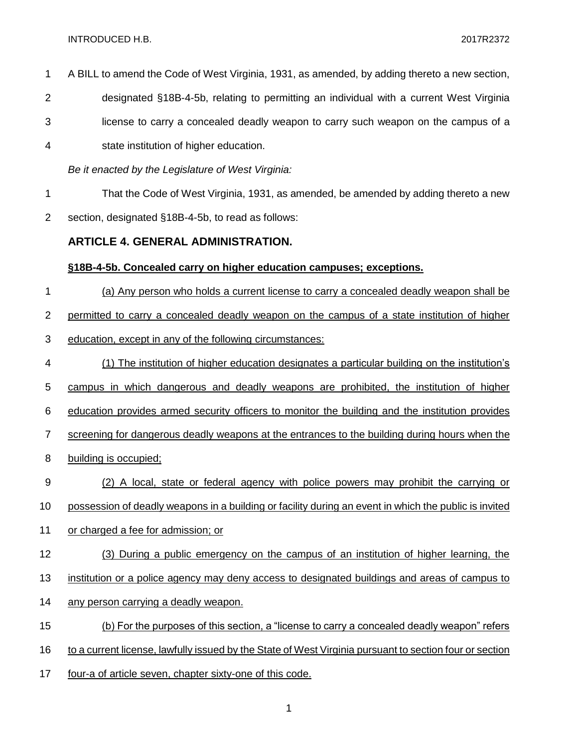INTRODUCED H.B. 2017R2372

 A BILL to amend the Code of West Virginia, 1931, as amended, by adding thereto a new section, designated §18B-4-5b, relating to permitting an individual with a current West Virginia license to carry a concealed deadly weapon to carry such weapon on the campus of a state institution of higher education. *Be it enacted by the Legislature of West Virginia:* That the Code of West Virginia, 1931, as amended, be amended by adding thereto a new section, designated §18B-4-5b, to read as follows: **ARTICLE 4. GENERAL ADMINISTRATION. §18B-4-5b. Concealed carry on higher education campuses; exceptions.** (a) Any person who holds a current license to carry a concealed deadly weapon shall be permitted to carry a concealed deadly weapon on the campus of a state institution of higher education, except in any of the following circumstances: (1) The institution of higher education designates a particular building on the institution's campus in which dangerous and deadly weapons are prohibited, the institution of higher education provides armed security officers to monitor the building and the institution provides screening for dangerous deadly weapons at the entrances to the building during hours when the building is occupied; (2) A local, state or federal agency with police powers may prohibit the carrying or possession of deadly weapons in a building or facility during an event in which the public is invited or charged a fee for admission; or (3) During a public emergency on the campus of an institution of higher learning, the institution or a police agency may deny access to designated buildings and areas of campus to any person carrying a deadly weapon. (b) For the purposes of this section, a "license to carry a concealed deadly weapon" refers to a current license, lawfully issued by the State of West Virginia pursuant to section four or section four-a of article seven, chapter sixty-one of this code.